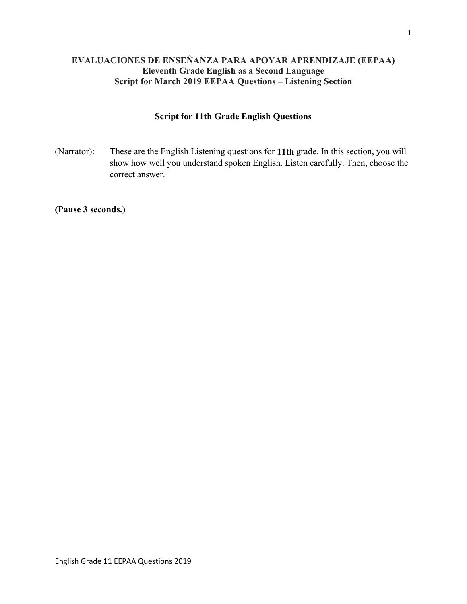# **EVALUACIONES DE ENSEÑANZA PARA APOYAR APRENDIZAJE (EEPAA) Eleventh Grade English as a Second Language Script for March 2019 EEPAA Questions – Listening Section**

## **Script for 11th Grade English Questions**

(Narrator): These are the English Listening questions for **11th** grade. In this section, you will show how well you understand spoken English. Listen carefully. Then, choose the correct answer.

**(Pause 3 seconds.)**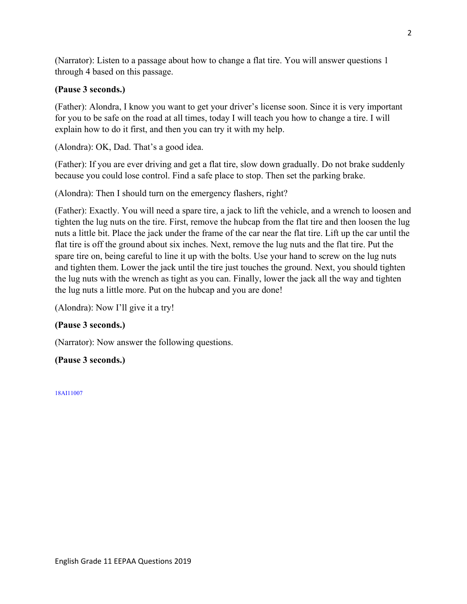(Narrator): Listen to a passage about how to change a flat tire. You will answer questions 1 through 4 based on this passage.

## **(Pause 3 seconds.)**

(Father): Alondra, I know you want to get your driver's license soon. Since it is very important for you to be safe on the road at all times, today I will teach you how to change a tire. I will explain how to do it first, and then you can try it with my help.

(Alondra): OK, Dad. That's a good idea.

(Father): If you are ever driving and get a flat tire, slow down gradually. Do not brake suddenly because you could lose control. Find a safe place to stop. Then set the parking brake.

(Alondra): Then I should turn on the emergency flashers, right?

(Father): Exactly. You will need a spare tire, a jack to lift the vehicle, and a wrench to loosen and tighten the lug nuts on the tire. First, remove the hubcap from the flat tire and then loosen the lug nuts a little bit. Place the jack under the frame of the car near the flat tire. Lift up the car until the flat tire is off the ground about six inches. Next, remove the lug nuts and the flat tire. Put the spare tire on, being careful to line it up with the bolts. Use your hand to screw on the lug nuts and tighten them. Lower the jack until the tire just touches the ground. Next, you should tighten the lug nuts with the wrench as tight as you can. Finally, lower the jack all the way and tighten the lug nuts a little more. Put on the hubcap and you are done!

(Alondra): Now I'll give it a try!

### **(Pause 3 seconds.)**

(Narrator): Now answer the following questions.

### **(Pause 3 seconds.)**

18AI11007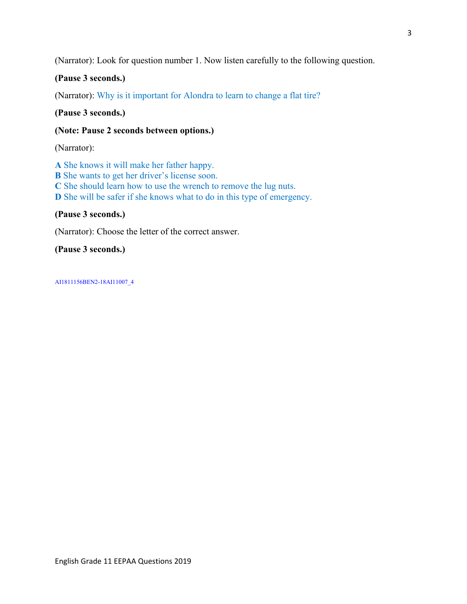(Narrator): Look for question number 1. Now listen carefully to the following question.

### **(Pause 3 seconds.)**

(Narrator): Why is it important for Alondra to learn to change a flat tire?

**(Pause 3 seconds.)** 

**(Note: Pause 2 seconds between options.)** 

(Narrator):

**A** She knows it will make her father happy. **B** She wants to get her driver's license soon. **C** She should learn how to use the wrench to remove the lug nuts. **D** She will be safer if she knows what to do in this type of emergency.

### **(Pause 3 seconds.)**

(Narrator): Choose the letter of the correct answer.

**(Pause 3 seconds.)** 

AI1811156BEN2-18AI11007\_4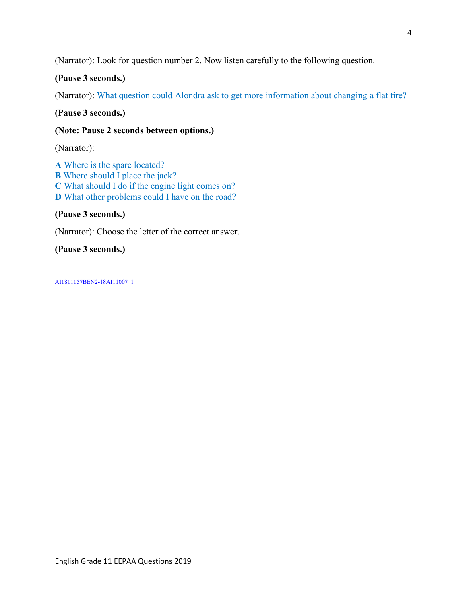(Narrator): Look for question number 2. Now listen carefully to the following question.

## **(Pause 3 seconds.)**

(Narrator): What question could Alondra ask to get more information about changing a flat tire?

**(Pause 3 seconds.)** 

### **(Note: Pause 2 seconds between options.)**

(Narrator):

**A** Where is the spare located? **B** Where should I place the jack? **C** What should I do if the engine light comes on? **D** What other problems could I have on the road?

### **(Pause 3 seconds.)**

(Narrator): Choose the letter of the correct answer.

**(Pause 3 seconds.)** 

AI1811157BEN2-18AI11007\_1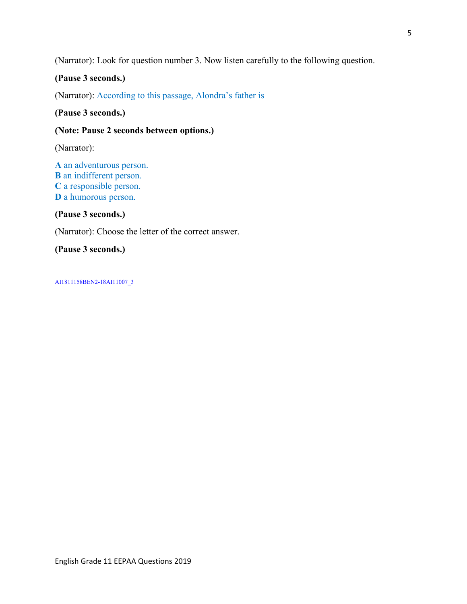(Narrator): Look for question number 3. Now listen carefully to the following question.

## **(Pause 3 seconds.)**

(Narrator): According to this passage, Alondra's father is —

### **(Pause 3 seconds.)**

#### **(Note: Pause 2 seconds between options.)**

(Narrator):

**A** an adventurous person. **B** an indifferent person. **C** a responsible person. **D** a humorous person.

#### **(Pause 3 seconds.)**

(Narrator): Choose the letter of the correct answer.

## **(Pause 3 seconds.)**

AI1811158BEN2-18AI11007\_3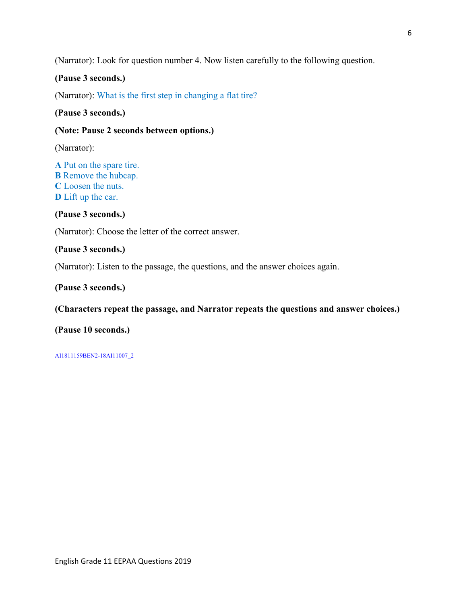(Narrator): Look for question number 4. Now listen carefully to the following question.

#### **(Pause 3 seconds.)**

(Narrator): What is the first step in changing a flat tire?

#### **(Pause 3 seconds.)**

### **(Note: Pause 2 seconds between options.)**

(Narrator):

**A** Put on the spare tire. **B** Remove the hubcap. **C** Loosen the nuts. **D** Lift up the car.

**(Pause 3 seconds.)** 

(Narrator): Choose the letter of the correct answer.

### **(Pause 3 seconds.)**

(Narrator): Listen to the passage, the questions, and the answer choices again.

#### **(Pause 3 seconds.)**

#### **(Characters repeat the passage, and Narrator repeats the questions and answer choices.)**

#### **(Pause 10 seconds.)**

AI1811159BEN2-18AI11007\_2